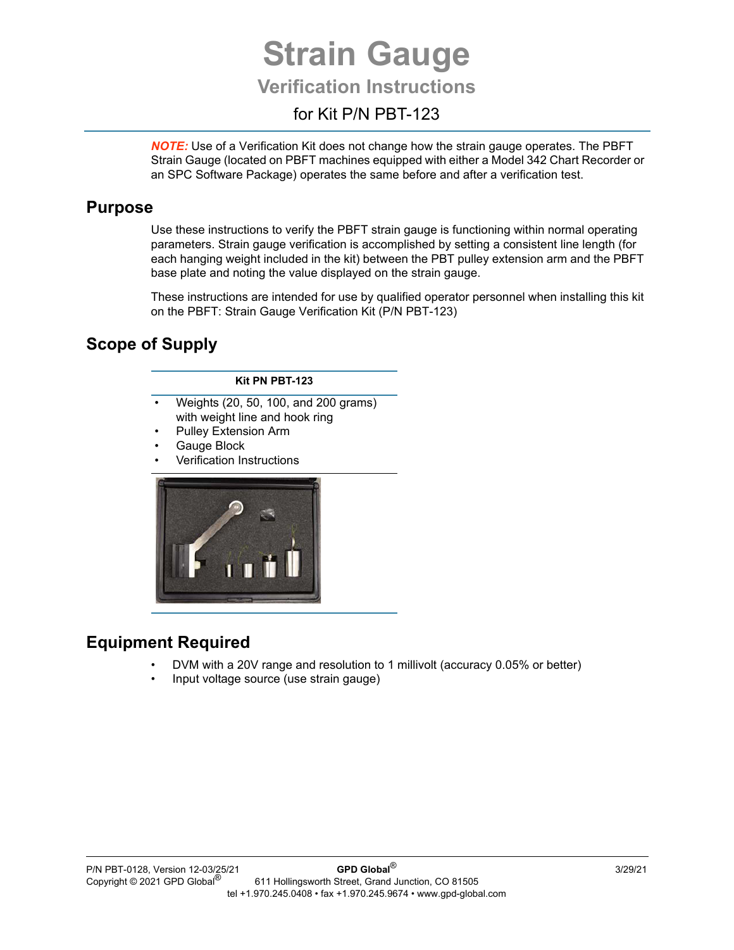# **Strain Gauge**

## **Verification Instructions**

## for Kit P/N PBT-123

*NOTE:* Use of a Verification Kit does not change how the strain gauge operates. The PBFT Strain Gauge (located on PBFT machines equipped with either a Model 342 Chart Recorder or an SPC Software Package) operates the same before and after a verification test.

#### **Purpose**

Use these instructions to verify the PBFT strain gauge is functioning within normal operating parameters. Strain gauge verification is accomplished by setting a consistent line length (for each hanging weight included in the kit) between the PBT pulley extension arm and the PBFT base plate and noting the value displayed on the strain gauge.

These instructions are intended for use by qualified operator personnel when installing this kit on the PBFT: Strain Gauge Verification Kit (P/N PBT-123)

## **Scope of Supply**

#### **Kit PN PBT-123**

- Weights (20, 50, 100, and 200 grams) with weight line and hook ring
- Pulley Extension Arm
- Gauge Block
- Verification Instructions



## **Equipment Required**

- DVM with a 20V range and resolution to 1 millivolt (accuracy 0.05% or better)
- Input voltage source (use strain gauge)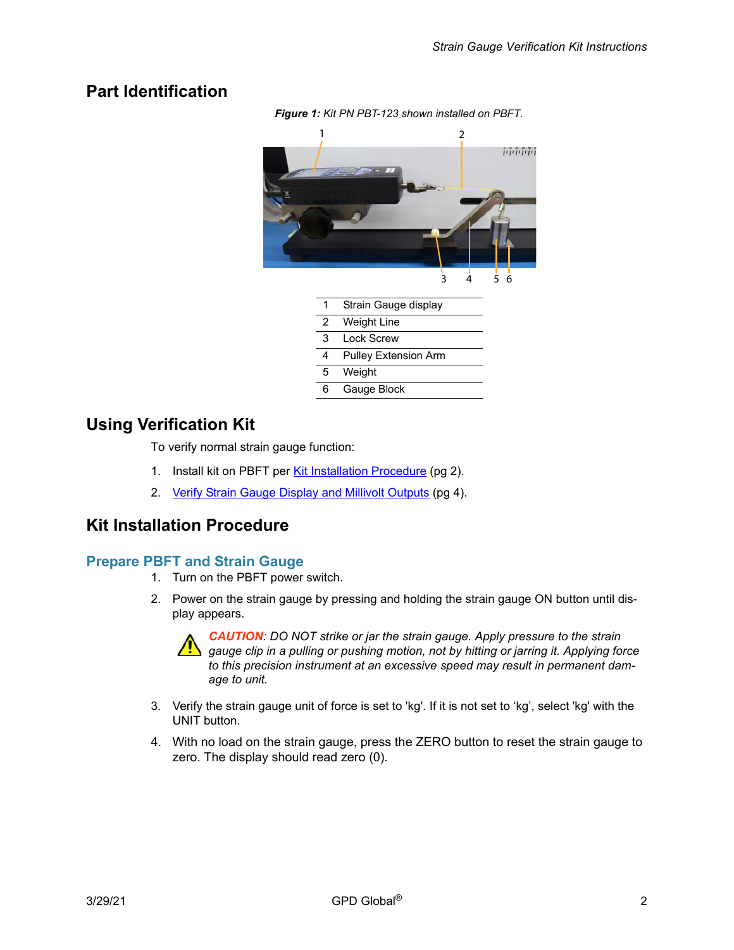#### **Part Identification**



## **Using Verification Kit**

To verify normal strain gauge function:

- 1. Install kit on PBFT per [Kit Installation Procedure \(pg 2\).](#page-1-0)
- 2. [Verify Strain Gauge Display and Millivolt Outputs \(pg 4\)](#page-3-0).

#### <span id="page-1-0"></span>**Kit Installation Procedure**

#### **Prepare PBFT and Strain Gauge**

- 1. Turn on the PBFT power switch.
- 2. Power on the strain gauge by pressing and holding the strain gauge ON button until display appears.



*CAUTION: DO NOT strike or jar the strain gauge. Apply pressure to the strain gauge clip in a pulling or pushing motion, not by hitting or jarring it. Applying force to this precision instrument at an excessive speed may result in permanent damage to unit.*

- 3. Verify the strain gauge unit of force is set to 'kg'. If it is not set to 'kg', select 'kg' with the UNIT button.
- 4. With no load on the strain gauge, press the ZERO button to reset the strain gauge to zero. The display should read zero (0).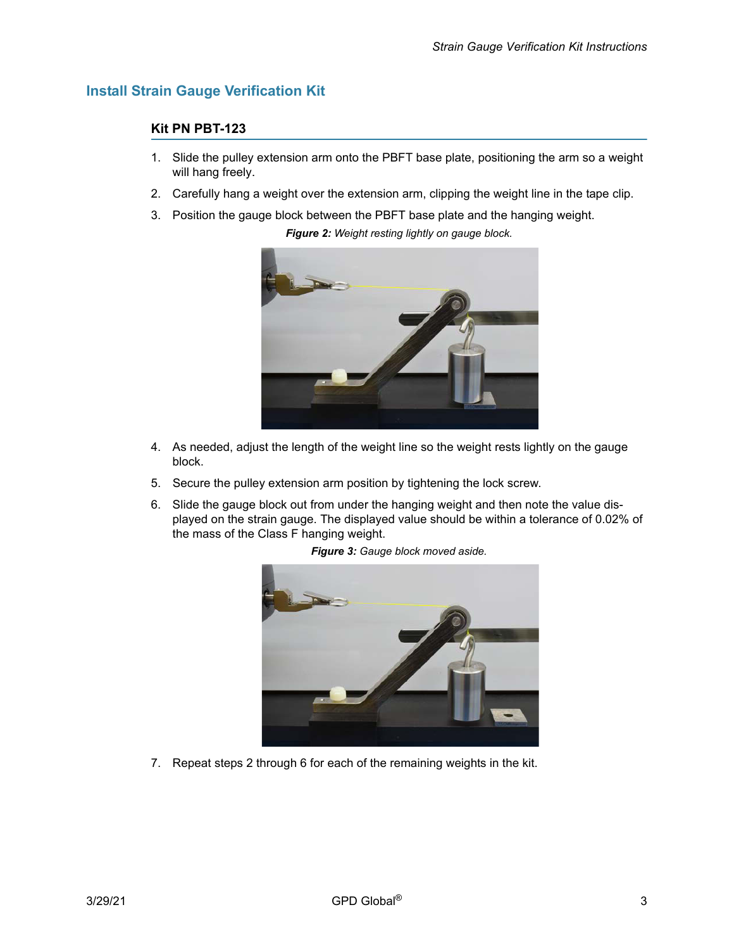#### **Install Strain Gauge Verification Kit**

#### **Kit PN PBT-123**

- 1. Slide the pulley extension arm onto the PBFT base plate, positioning the arm so a weight will hang freely.
- 2. Carefully hang a weight over the extension arm, clipping the weight line in the tape clip.

*Figure 2: Weight resting lightly on gauge block.*

3. Position the gauge block between the PBFT base plate and the hanging weight.

- 4. As needed, adjust the length of the weight line so the weight rests lightly on the gauge block.
- 5. Secure the pulley extension arm position by tightening the lock screw.
- 6. Slide the gauge block out from under the hanging weight and then note the value displayed on the strain gauge. The displayed value should be within a tolerance of 0.02% of the mass of the Class F hanging weight.



*Figure 3: Gauge block moved aside.*

7. Repeat steps 2 through 6 for each of the remaining weights in the kit.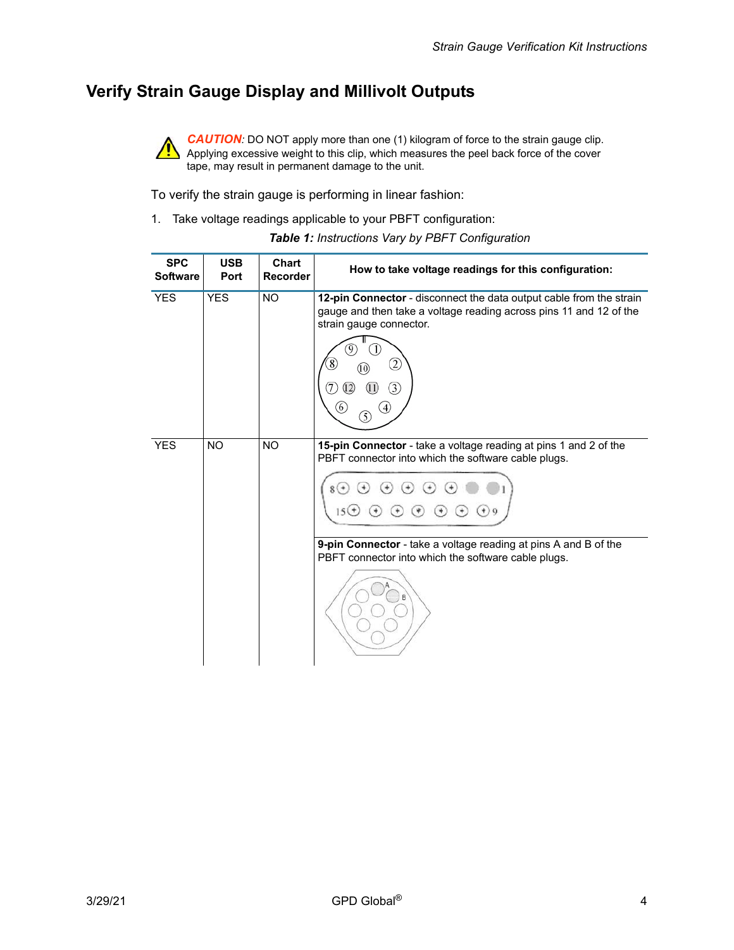## <span id="page-3-0"></span>**Verify Strain Gauge Display and Millivolt Outputs**



**CAUTION**: DO NOT apply more than one (1) kilogram of force to the strain gauge clip. Applying excessive weight to this clip, which measures the peel back force of the cover tape, may result in permanent damage to the unit.

To verify the strain gauge is performing in linear fashion:

1. Take voltage readings applicable to your PBFT configuration:

| <b>SPC</b><br><b>Software</b> | <b>USB</b><br>Port | Chart<br><b>Recorder</b> | How to take voltage readings for this configuration:                                                                                                                                                                                                                                        |  |
|-------------------------------|--------------------|--------------------------|---------------------------------------------------------------------------------------------------------------------------------------------------------------------------------------------------------------------------------------------------------------------------------------------|--|
| <b>YES</b>                    | <b>YES</b>         | <b>NO</b>                | 12-pin Connector - disconnect the data output cable from the strain<br>gauge and then take a voltage reading across pins 11 and 12 of the<br>strain gauge connector.<br>2<br>3<br>6<br>5                                                                                                    |  |
| <b>YES</b>                    | <b>NO</b>          | <b>NO</b>                | 15-pin Connector - take a voltage reading at pins 1 and 2 of the<br>PBFT connector into which the software cable plugs.<br>$^{(+)}$<br>$15(+)$<br>$^{+}$<br>$(+)$<br>9-pin Connector - take a voltage reading at pins A and B of the<br>PBFT connector into which the software cable plugs. |  |

*Table 1: Instructions Vary by PBFT Configuration*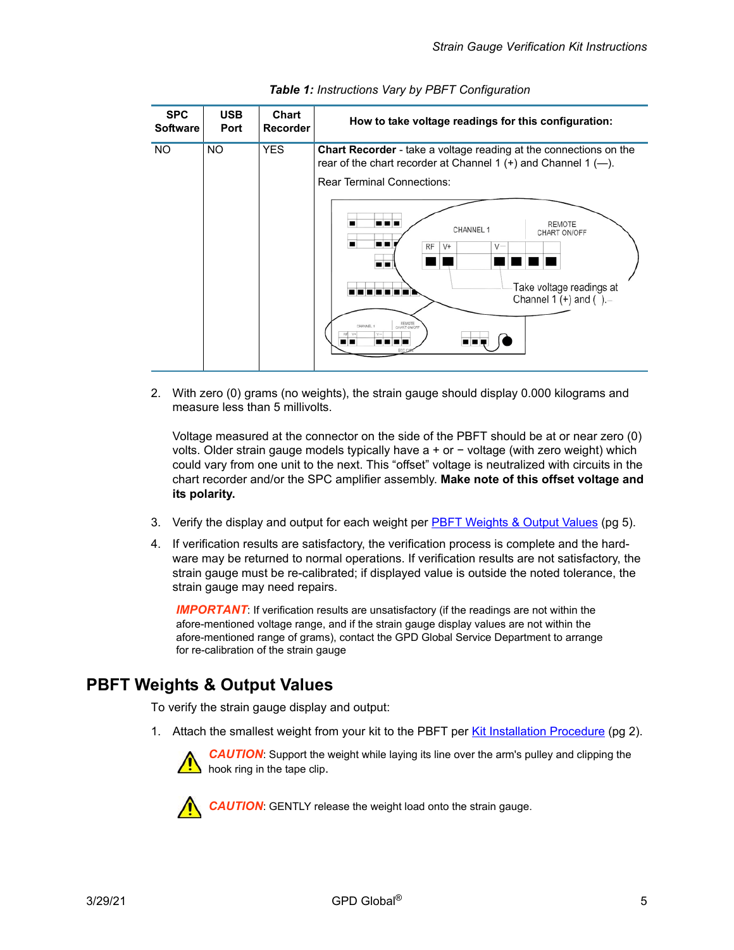| <b>SPC</b><br><b>Software</b> | <b>USB</b><br>Port | Chart<br><b>Recorder</b> | How to take voltage readings for this configuration:                                                                                                                                                                                                            |
|-------------------------------|--------------------|--------------------------|-----------------------------------------------------------------------------------------------------------------------------------------------------------------------------------------------------------------------------------------------------------------|
| <b>NO</b>                     | <b>NO</b>          | <b>YES</b>               | Chart Recorder - take a voltage reading at the connections on the<br>rear of the chart recorder at Channel 1 $(+)$ and Channel 1 $(-)$ .<br><b>Rear Terminal Connections:</b><br>oor<br>REMOTE<br>CHANNEL 1<br>CHART ON/OFF<br>−<br>RF<br>$V +$<br>$V -$<br>. . |
|                               |                    |                          | Take voltage readings at<br>Channel 1 $(+)$ and $($ ).<br>REMOTE<br>CHANNEL 1                                                                                                                                                                                   |

| Table 1: Instructions Vary by PBFT Configuration |  |  |
|--------------------------------------------------|--|--|
|--------------------------------------------------|--|--|

<span id="page-4-1"></span>2. With zero (0) grams (no weights), the strain gauge should display 0.000 kilograms and measure less than 5 millivolts.

Voltage measured at the connector on the side of the PBFT should be at or near zero (0) volts. Older strain gauge models typically have a + or − voltage (with zero weight) which could vary from one unit to the next. This "offset" voltage is neutralized with circuits in the chart recorder and/or the SPC amplifier assembly. **Make note of this offset voltage and its polarity.**

- 3. Verify the display and output for each weight per [PBFT Weights & Output Values \(pg 5\).](#page-4-0)
- 4. If verification results are satisfactory, the verification process is complete and the hardware may be returned to normal operations. If verification results are not satisfactory, the strain gauge must be re-calibrated; if displayed value is outside the noted tolerance, the strain gauge may need repairs.

**IMPORTANT:** If verification results are unsatisfactory (if the readings are not within the afore-mentioned voltage range, and if the strain gauge display values are not within the afore-mentioned range of grams), contact the GPD Global Service Department to arrange for re-calibration of the strain gauge

#### <span id="page-4-0"></span>**PBFT Weights & Output Values**

To verify the strain gauge display and output:

1. Attach the smallest weight from your kit to the PBFT per [Kit Installation Procedure \(pg 2\).](#page-1-0)

*CAUTION*: Support the weight while laying its line over the arm's pulley and clipping the hook ring in the tape clip.



*CAUTION*: GENTLY release the weight load onto the strain gauge.